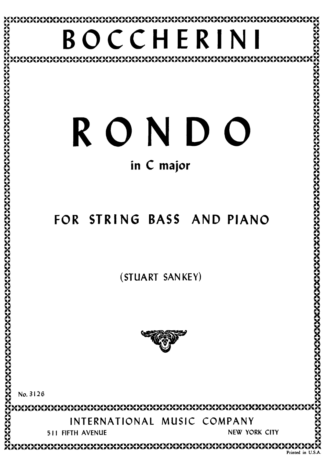

Printed in U.S.A.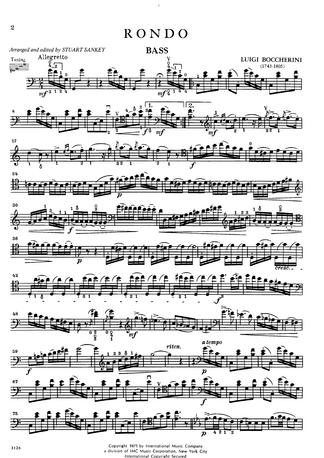**RONDO** 

Ŷ



Copyright 1971 by International Music Company a division of IMC Music Corporation, New York City<br>International Copyright Secured

3126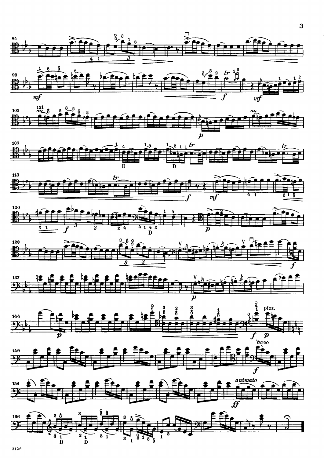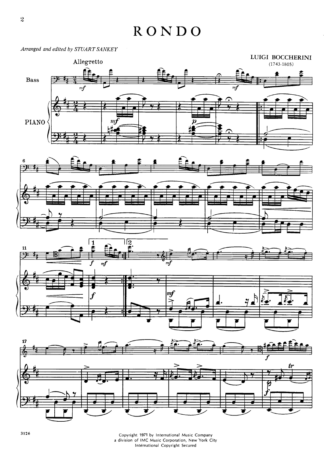## **RONDO**

Arranged and edited by STUART SANKEY



Copyright 1971 by International Music Company<br>a division of IMC Music Corporation, New York City International Copyright Secured

3126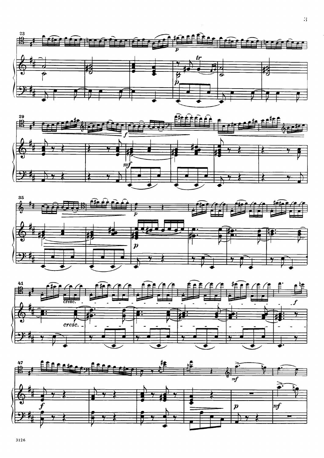

 $\ddot{\mathbf{3}}$ 







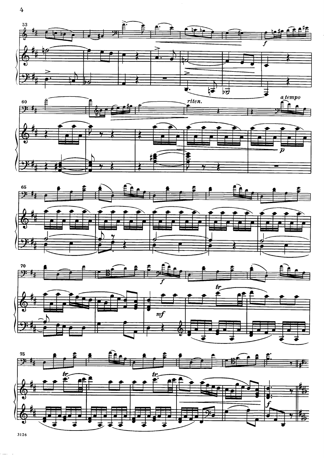







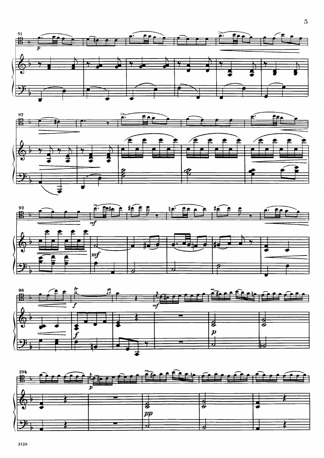







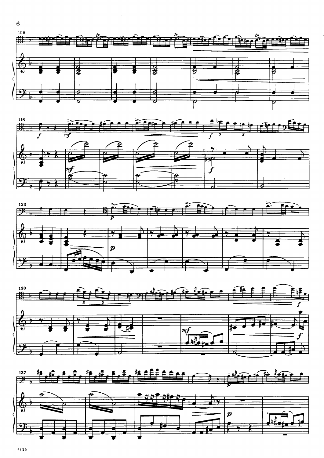